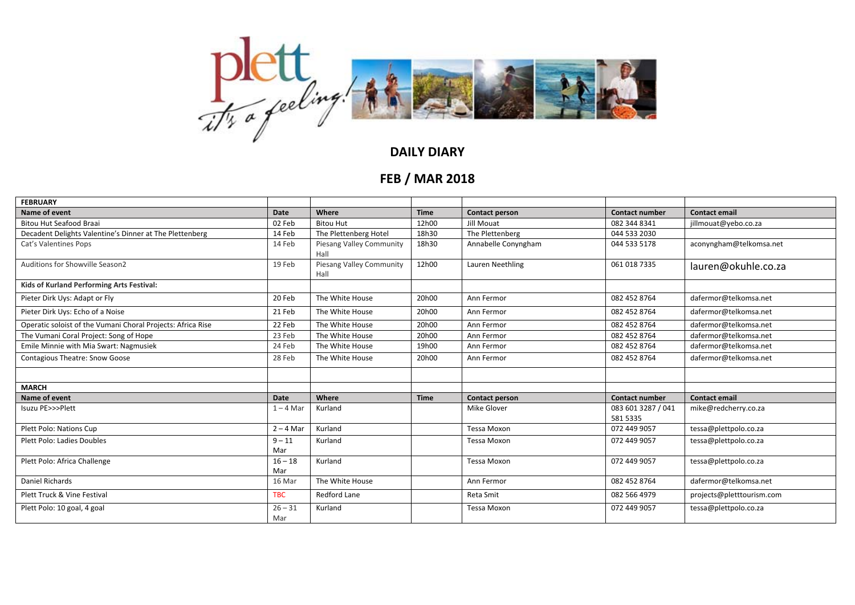

## **DAILY DIARY**

## **FEB / MAR 2018**

| <b>FEBRUARY</b>                                             |                  |                                         |             |                       |                                |                           |
|-------------------------------------------------------------|------------------|-----------------------------------------|-------------|-----------------------|--------------------------------|---------------------------|
| Name of event                                               | <b>Date</b>      | Where                                   | <b>Time</b> | <b>Contact person</b> | <b>Contact number</b>          | <b>Contact email</b>      |
| Bitou Hut Seafood Braai                                     | 02 Feb           | <b>Bitou Hut</b>                        | 12h00       | Jill Mouat            | 082 344 8341                   | jillmouat@yebo.co.za      |
| Decadent Delights Valentine's Dinner at The Plettenberg     | 14 Feb           | The Plettenberg Hotel                   | 18h30       | The Plettenberg       | 044 533 2030                   |                           |
| Cat's Valentines Pops                                       | 14 Feb           | <b>Piesang Valley Community</b><br>Hall | 18h30       | Annabelle Conyngham   | 044 533 5178                   | aconyngham@telkomsa.net   |
| Auditions for Showville Season2                             | 19 Feb           | Piesang Valley Community<br>Hall        | 12h00       | Lauren Neethling      | 061 018 7335                   | lauren@okuhle.co.za       |
| Kids of Kurland Performing Arts Festival:                   |                  |                                         |             |                       |                                |                           |
| Pieter Dirk Uys: Adapt or Fly                               | 20 Feb           | The White House                         | 20h00       | Ann Fermor            | 082 452 8764                   | dafermor@telkomsa.net     |
| Pieter Dirk Uys: Echo of a Noise                            | 21 Feb           | The White House                         | 20h00       | Ann Fermor            | 082 452 8764                   | dafermor@telkomsa.net     |
| Operatic soloist of the Vumani Choral Projects: Africa Rise | 22 Feb           | The White House                         | 20h00       | Ann Fermor            | 082 452 8764                   | dafermor@telkomsa.net     |
| The Vumani Coral Project: Song of Hope                      | 23 Feb           | The White House                         | 20h00       | Ann Fermor            | 082 452 8764                   | dafermor@telkomsa.net     |
| Emile Minnie with Mia Swart: Nagmusiek                      | 24 Feb           | The White House                         | 19h00       | Ann Fermor            | 082 452 8764                   | dafermor@telkomsa.net     |
| <b>Contagious Theatre: Snow Goose</b>                       | 28 Feb           | The White House                         | 20h00       | Ann Fermor            | 082 452 8764                   | dafermor@telkomsa.net     |
|                                                             |                  |                                         |             |                       |                                |                           |
| <b>MARCH</b>                                                |                  |                                         |             |                       |                                |                           |
| Name of event                                               | <b>Date</b>      | Where                                   | <b>Time</b> | <b>Contact person</b> | <b>Contact number</b>          | <b>Contact email</b>      |
| Isuzu PE>>>Plett                                            | $1 - 4$ Mar      | Kurland                                 |             | Mike Glover           | 083 601 3287 / 041<br>581 5335 | mike@redcherry.co.za      |
| Plett Polo: Nations Cup                                     | $2 - 4$ Mar      | Kurland                                 |             | Tessa Moxon           | 072 449 9057                   | tessa@plettpolo.co.za     |
| <b>Plett Polo: Ladies Doubles</b>                           | $9 - 11$         | Kurland                                 |             | Tessa Moxon           | 072 449 9057                   | tessa@plettpolo.co.za     |
|                                                             | Mar              |                                         |             |                       |                                |                           |
| Plett Polo: Africa Challenge                                | $16 - 18$<br>Mar | Kurland                                 |             | <b>Tessa Moxon</b>    | 072 449 9057                   | tessa@plettpolo.co.za     |
| Daniel Richards                                             | 16 Mar           | The White House                         |             | Ann Fermor            | 082 452 8764                   | dafermor@telkomsa.net     |
| Plett Truck & Vine Festival                                 | <b>TBC</b>       | Redford Lane                            |             |                       | 082 566 4979                   |                           |
|                                                             |                  |                                         |             | Reta Smit             |                                | projects@pletttourism.com |
| Plett Polo: 10 goal, 4 goal                                 | $26 - 31$<br>Mar | Kurland                                 |             | Tessa Moxon           | 072 449 9057                   | tessa@plettpolo.co.za     |